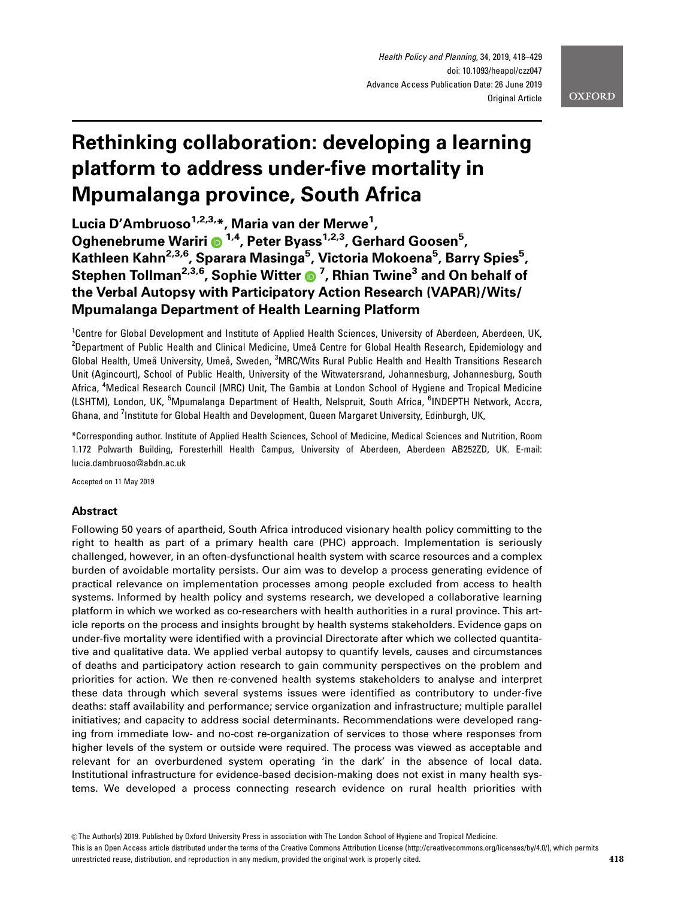# Rethinking collaboration: developing a learning platform to address under-five mortality in Mpumalanga province, South Africa

Lucia D'Ambruoso<sup>1,2,3,</sup>\*, Maria van der Merwe<sup>1</sup>,

Oghenebrume Wariri @ <sup>1,4</sup>, Peter Byass<sup>1,2,3</sup>, Gerhard Goosen<sup>5</sup>, Kathleen Kahn<sup>2,3,6</sup>, Sparara Masinga<sup>5</sup>, Victoria Mokoena<sup>5</sup>, Barry Spies<sup>5</sup>, Stephen Tollman<sup>2,3,6</sup>, Sophie Witter @ <sup>7</sup>, Rhian Twine<sup>3</sup> and On behalf of the Verbal Autopsy with Participatory Action Research (VAPAR)/Wits/ Mpumalanga Department of Health Learning Platform

<sup>1</sup>Centre for Global Development and Institute of Applied Health Sciences, University of Aberdeen, Aberdeen, UK,  $^2$ Department of Public Health and Clinical Medicine, Umeå Centre for Global Health Research, Epidemiology and Global Health, Umeå University, Umeå, Sweden, <sup>3</sup>MRC/Wits Rural Public Health and Health Transitions Research Unit (Agincourt), School of Public Health, University of the Witwatersrand, Johannesburg, Johannesburg, South Africa, <sup>4</sup>Medical Research Council (MRC) Unit, The Gambia at London School of Hygiene and Tropical Medicine (LSHTM), London, UK, <sup>5</sup>Mpumalanga Department of Health, Nelspruit, South Africa, <sup>6</sup>INDEPTH Network, Accra, Ghana, and <sup>7</sup>Institute for Global Health and Development, Queen Margaret University, Edinburgh, UK,

\*Corresponding author. Institute of Applied Health Sciences, School of Medicine, Medical Sciences and Nutrition, Room 1.172 Polwarth Building, Foresterhill Health Campus, University of Aberdeen, Aberdeen AB252ZD, UK. E-mail: lucia.dambruoso@abdn.ac.uk

Accepted on 11 May 2019

# Abstract

Following 50 years of apartheid, South Africa introduced visionary health policy committing to the right to health as part of a primary health care (PHC) approach. Implementation is seriously challenged, however, in an often-dysfunctional health system with scarce resources and a complex burden of avoidable mortality persists. Our aim was to develop a process generating evidence of practical relevance on implementation processes among people excluded from access to health systems. Informed by health policy and systems research, we developed a collaborative learning platform in which we worked as co-researchers with health authorities in a rural province. This article reports on the process and insights brought by health systems stakeholders. Evidence gaps on under-five mortality were identified with a provincial Directorate after which we collected quantitative and qualitative data. We applied verbal autopsy to quantify levels, causes and circumstances of deaths and participatory action research to gain community perspectives on the problem and priorities for action. We then re-convened health systems stakeholders to analyse and interpret these data through which several systems issues were identified as contributory to under-five deaths: staff availability and performance; service organization and infrastructure; multiple parallel initiatives; and capacity to address social determinants. Recommendations were developed ranging from immediate low- and no-cost re-organization of services to those where responses from higher levels of the system or outside were required. The process was viewed as acceptable and relevant for an overburdened system operating 'in the dark' in the absence of local data. Institutional infrastructure for evidence-based decision-making does not exist in many health systems. We developed a process connecting research evidence on rural health priorities with

This is an Open Access article distributed under the terms of the Creative Commons Attribution License (http://creativecommons.org/licenses/by/4.0/), which permits unrestricted reuse, distribution, and reproduction in any medium, provided the original work is properly cited.

V<sup>C</sup> The Author(s) 2019. Published by Oxford University Press in association with The London School of Hygiene and Tropical Medicine.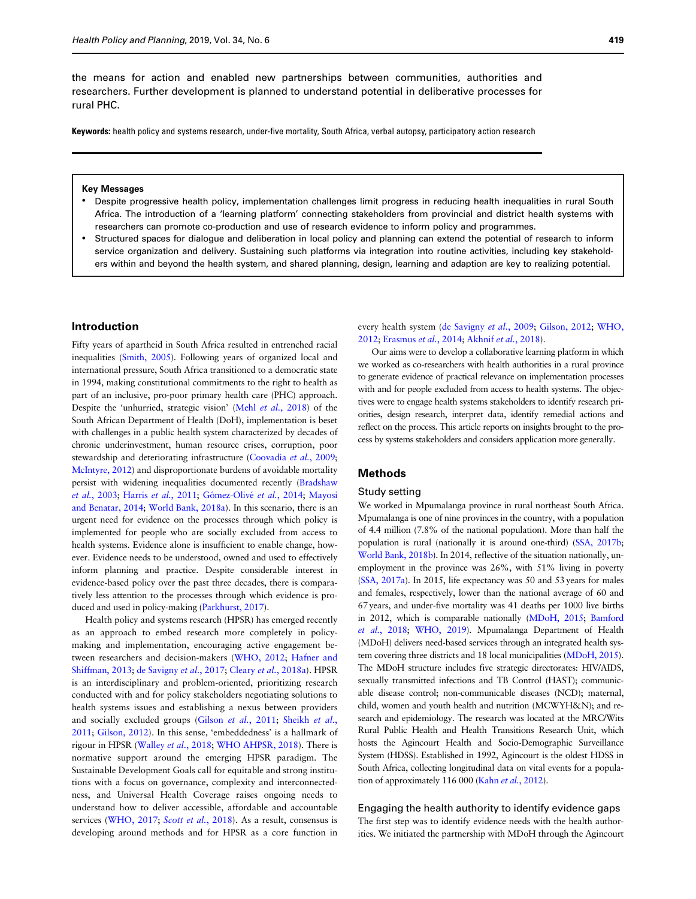the means for action and enabled new partnerships between communities, authorities and researchers. Further development is planned to understand potential in deliberative processes for rural PHC.

Keywords: health policy and systems research, under-five mortality, South Africa, verbal autopsy, participatory action research

#### Key Messages

- Despite progressive health policy, implementation challenges limit progress in reducing health inequalities in rural South Africa. The introduction of a 'learning platform' connecting stakeholders from provincial and district health systems with researchers can promote co-production and use of research evidence to inform policy and programmes.
- Structured spaces for dialogue and deliberation in local policy and planning can extend the potential of research to inform service organization and delivery. Sustaining such platforms via integration into routine activities, including key stakeholders within and beyond the health system, and shared planning, design, learning and adaption are key to realizing potential.

# Introduction

Fifty years of apartheid in South Africa resulted in entrenched racial inequalities ([Smith, 2005](#page-11-0)). Following years of organized local and international pressure, South Africa transitioned to a democratic state in 1994, making constitutional commitments to the right to health as part of an inclusive, pro-poor primary health care (PHC) approach. Despite the 'unhurried, strategic vision' (Mehl et al.[, 2018\)](#page-10-0) of the South African Department of Health (DoH), implementation is beset with challenges in a public health system characterized by decades of chronic underinvestment, human resource crises, corruption, poor stewardship and deteriorating infrastructure ([Coovadia](#page-9-0) et al., 2009; [McIntyre, 2012\)](#page-10-0) and disproportionate burdens of avoidable mortality persist with widening inequalities documented recently ([Bradshaw](#page-9-0) et al.[, 2003](#page-9-0); Harris et al.[, 2011](#page-10-0); Gómez-Olivé et al., 2014; [Mayosi](#page-10-0) [and Benatar, 2014](#page-10-0); [World Bank, 2018a](#page-11-0)). In this scenario, there is an urgent need for evidence on the processes through which policy is implemented for people who are socially excluded from access to health systems. Evidence alone is insufficient to enable change, however. Evidence needs to be understood, owned and used to effectively inform planning and practice. Despite considerable interest in evidence-based policy over the past three decades, there is comparatively less attention to the processes through which evidence is produced and used in policy-making [\(Parkhurst, 2017](#page-10-0)).

Health policy and systems research (HPSR) has emerged recently as an approach to embed research more completely in policymaking and implementation, encouraging active engagement between researchers and decision-makers [\(WHO, 2012;](#page-11-0) [Hafner and](#page-10-0) [Shiffman, 2013](#page-10-0); [de Savigny](#page-11-0) et al., 2017; Cleary et al.[, 2018a](#page-9-0)). HPSR is an interdisciplinary and problem-oriented, prioritizing research conducted with and for policy stakeholders negotiating solutions to health systems issues and establishing a nexus between providers and socially excluded groups (Gilson et al.[, 2011](#page-10-0); [Sheikh](#page-11-0) et al., [2011;](#page-11-0) [Gilson, 2012\)](#page-10-0). In this sense, 'embeddedness' is a hallmark of rigour in HPSR ([Walley](#page-11-0) et al., 2018; [WHO AHPSR, 2018\)](#page-11-0). There is normative support around the emerging HPSR paradigm. The Sustainable Development Goals call for equitable and strong institutions with a focus on governance, complexity and interconnectedness, and Universal Health Coverage raises ongoing needs to understand how to deliver accessible, affordable and accountable services ([WHO, 2017;](#page-11-0) [Scott et al.](#page-11-0), 2018). As a result, consensus is developing around methods and for HPSR as a core function in every health system [\(de Savigny](#page-11-0) et al., 2009; [Gilson, 2012](#page-10-0); [WHO,](#page-11-0) [2012;](#page-11-0) [Erasmus](#page-10-0) et al., 2014; [Akhnif](#page-9-0) et al., 2018).

Our aims were to develop a collaborative learning platform in which we worked as co-researchers with health authorities in a rural province to generate evidence of practical relevance on implementation processes with and for people excluded from access to health systems. The objectives were to engage health systems stakeholders to identify research priorities, design research, interpret data, identify remedial actions and reflect on the process. This article reports on insights brought to the process by systems stakeholders and considers application more generally.

## Methods

#### Study setting

We worked in Mpumalanga province in rural northeast South Africa. Mpumalanga is one of nine provinces in the country, with a population of 4.4 million (7.8% of the national population). More than half the population is rural (nationally it is around one-third) ([SSA, 2017b;](#page-11-0) [World Bank, 2018b\)](#page-11-0). In 2014, reflective of the situation nationally, unemployment in the province was 26%, with 51% living in poverty ([SSA, 2017a](#page-11-0)). In 2015, life expectancy was 50 and 53 years for males and females, respectively, lower than the national average of 60 and 67 years, and under-five mortality was 41 deaths per 1000 live births in 2012, which is comparable nationally ([MDoH, 2015;](#page-10-0) [Bamford](#page-9-0) et al.[, 2018](#page-9-0); [WHO, 2019\)](#page-11-0). Mpumalanga Department of Health (MDoH) delivers need-based services through an integrated health system covering three districts and 18 local municipalities ([MDoH, 2015](#page-10-0)). The MDoH structure includes five strategic directorates: HIV/AIDS, sexually transmitted infections and TB Control (HAST); communicable disease control; non-communicable diseases (NCD); maternal, child, women and youth health and nutrition (MCWYH&N); and research and epidemiology. The research was located at the MRC/Wits Rural Public Health and Health Transitions Research Unit, which hosts the Agincourt Health and Socio-Demographic Surveillance System (HDSS). Established in 1992, Agincourt is the oldest HDSS in South Africa, collecting longitudinal data on vital events for a popula-tion of approximately 116 000 (Kahn et al.[, 2012\)](#page-10-0).

Engaging the health authority to identify evidence gaps The first step was to identify evidence needs with the health authorities. We initiated the partnership with MDoH through the Agincourt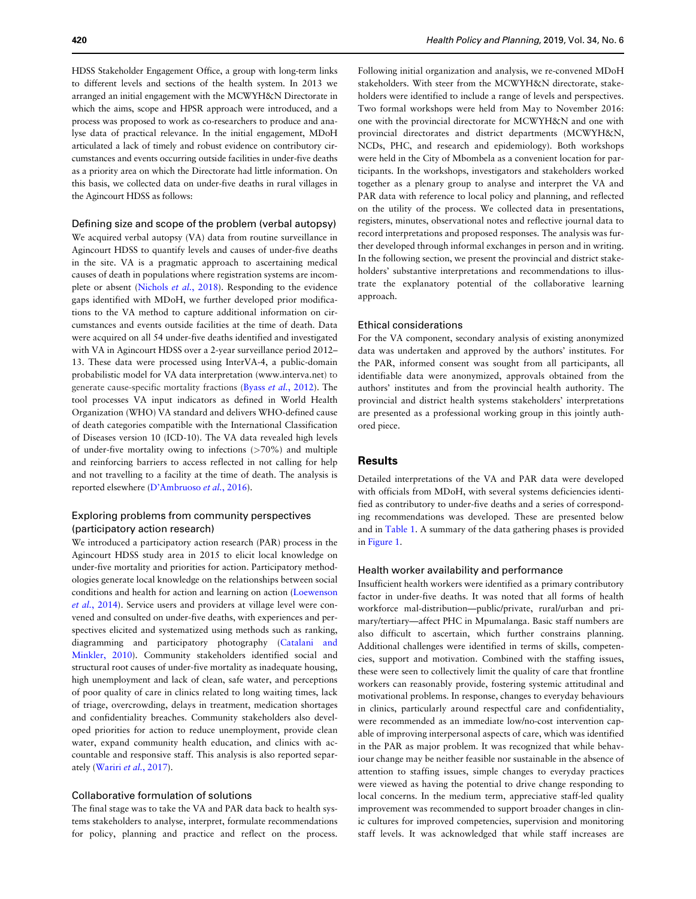HDSS Stakeholder Engagement Office, a group with long-term links to different levels and sections of the health system. In 2013 we arranged an initial engagement with the MCWYH&N Directorate in which the aims, scope and HPSR approach were introduced, and a process was proposed to work as co-researchers to produce and analyse data of practical relevance. In the initial engagement, MDoH articulated a lack of timely and robust evidence on contributory circumstances and events occurring outside facilities in under-five deaths as a priority area on which the Directorate had little information. On this basis, we collected data on under-five deaths in rural villages in the Agincourt HDSS as follows:

### Defining size and scope of the problem (verbal autopsy)

We acquired verbal autopsy (VA) data from routine surveillance in Agincourt HDSS to quantify levels and causes of under-five deaths in the site. VA is a pragmatic approach to ascertaining medical causes of death in populations where registration systems are incomplete or absent [\(Nichols](#page-10-0) et al., 2018). Responding to the evidence gaps identified with MDoH, we further developed prior modifications to the VA method to capture additional information on circumstances and events outside facilities at the time of death. Data were acquired on all 54 under-five deaths identified and investigated with VA in Agincourt HDSS over a 2-year surveillance period 2012– 13. These data were processed using InterVA-4, a public-domain probabilistic model for VA data interpretation [\(www.interva.net](http://www.interva.net)) to generate cause-specific mortality fractions (Byass et al.[, 2012](#page-9-0)). The tool processes VA input indicators as defined in World Health Organization (WHO) VA standard and delivers WHO-defined cause of death categories compatible with the International Classification of Diseases version 10 (ICD-10). The VA data revealed high levels of under-five mortality owing to infections (>70%) and multiple and reinforcing barriers to access reflected in not calling for help and not travelling to a facility at the time of death. The analysis is reported elsewhere [\(D'Ambruoso](#page-10-0) et al., 2016).

# Exploring problems from community perspectives (participatory action research)

We introduced a participatory action research (PAR) process in the Agincourt HDSS study area in 2015 to elicit local knowledge on under-five mortality and priorities for action. Participatory methodologies generate local knowledge on the relationships between social conditions and health for action and learning on action [\(Loewenson](#page-10-0) et al.[, 2014\)](#page-10-0). Service users and providers at village level were convened and consulted on under-five deaths, with experiences and perspectives elicited and systematized using methods such as ranking, diagramming and participatory photography ([Catalani and](#page-9-0) [Minkler, 2010](#page-9-0)). Community stakeholders identified social and structural root causes of under-five mortality as inadequate housing, high unemployment and lack of clean, safe water, and perceptions of poor quality of care in clinics related to long waiting times, lack of triage, overcrowding, delays in treatment, medication shortages and confidentiality breaches. Community stakeholders also developed priorities for action to reduce unemployment, provide clean water, expand community health education, and clinics with accountable and responsive staff. This analysis is also reported separately [\(Wariri](#page-11-0) et al., 2017).

#### Collaborative formulation of solutions

The final stage was to take the VA and PAR data back to health systems stakeholders to analyse, interpret, formulate recommendations for policy, planning and practice and reflect on the process.

Following initial organization and analysis, we re-convened MDoH stakeholders. With steer from the MCWYH&N directorate, stakeholders were identified to include a range of levels and perspectives. Two formal workshops were held from May to November 2016: one with the provincial directorate for MCWYH&N and one with provincial directorates and district departments (MCWYH&N, NCDs, PHC, and research and epidemiology). Both workshops were held in the City of Mbombela as a convenient location for participants. In the workshops, investigators and stakeholders worked together as a plenary group to analyse and interpret the VA and PAR data with reference to local policy and planning, and reflected on the utility of the process. We collected data in presentations, registers, minutes, observational notes and reflective journal data to record interpretations and proposed responses. The analysis was further developed through informal exchanges in person and in writing. In the following section, we present the provincial and district stakeholders' substantive interpretations and recommendations to illustrate the explanatory potential of the collaborative learning approach.

## Ethical considerations

For the VA component, secondary analysis of existing anonymized data was undertaken and approved by the authors' institutes. For the PAR, informed consent was sought from all participants, all identifiable data were anonymized, approvals obtained from the authors' institutes and from the provincial health authority. The provincial and district health systems stakeholders' interpretations are presented as a professional working group in this jointly authored piece.

# **Results**

Detailed interpretations of the VA and PAR data were developed with officials from MDoH, with several systems deficiencies identified as contributory to under-five deaths and a series of corresponding recommendations was developed. These are presented below and in [Table 1](#page-3-0). A summary of the data gathering phases is provided in [Figure 1.](#page-3-0)

#### Health worker availability and performance

Insufficient health workers were identified as a primary contributory factor in under-five deaths. It was noted that all forms of health workforce mal-distribution—public/private, rural/urban and primary/tertiary—affect PHC in Mpumalanga. Basic staff numbers are also difficult to ascertain, which further constrains planning. Additional challenges were identified in terms of skills, competencies, support and motivation. Combined with the staffing issues, these were seen to collectively limit the quality of care that frontline workers can reasonably provide, fostering systemic attitudinal and motivational problems. In response, changes to everyday behaviours in clinics, particularly around respectful care and confidentiality, were recommended as an immediate low/no-cost intervention capable of improving interpersonal aspects of care, which was identified in the PAR as major problem. It was recognized that while behaviour change may be neither feasible nor sustainable in the absence of attention to staffing issues, simple changes to everyday practices were viewed as having the potential to drive change responding to local concerns. In the medium term, appreciative staff-led quality improvement was recommended to support broader changes in clinic cultures for improved competencies, supervision and monitoring staff levels. It was acknowledged that while staff increases are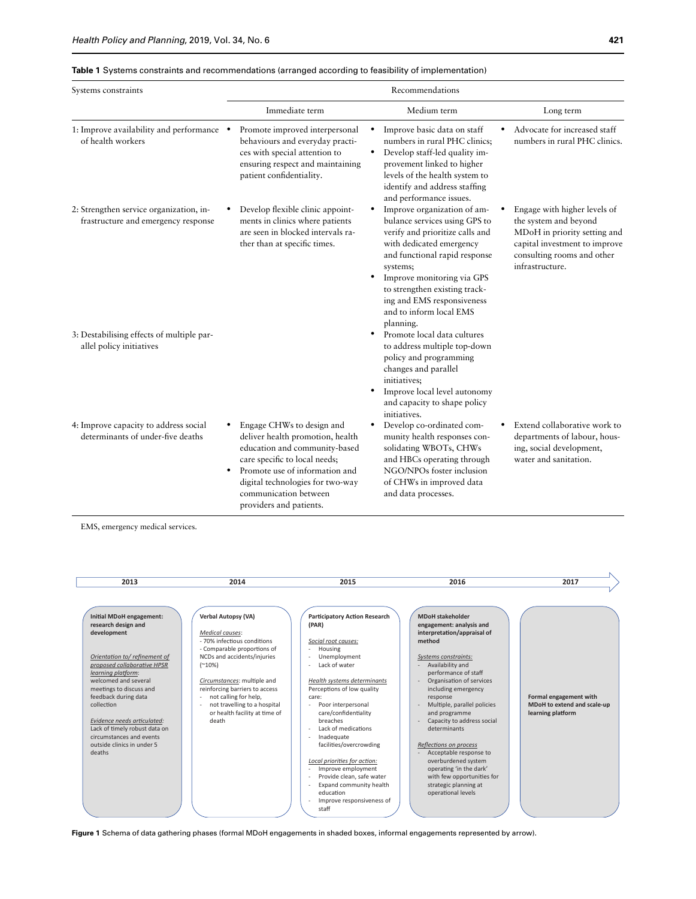<span id="page-3-0"></span>Table 1 Systems constraints and recommendations (arranged according to feasibility of implementation)

| Systems constraints                                                            |                                                                                                                                                                                                                                                                     | Recommendations                                                                                                                                                                                                                                                                                                    |                                                                                                                                                                         |
|--------------------------------------------------------------------------------|---------------------------------------------------------------------------------------------------------------------------------------------------------------------------------------------------------------------------------------------------------------------|--------------------------------------------------------------------------------------------------------------------------------------------------------------------------------------------------------------------------------------------------------------------------------------------------------------------|-------------------------------------------------------------------------------------------------------------------------------------------------------------------------|
|                                                                                | Immediate term                                                                                                                                                                                                                                                      | Medium term                                                                                                                                                                                                                                                                                                        | Long term                                                                                                                                                               |
| 1: Improve availability and performance •<br>of health workers                 | Promote improved interpersonal<br>behaviours and everyday practi-<br>ces with special attention to<br>ensuring respect and maintaining<br>patient confidentiality.                                                                                                  | Improve basic data on staff<br>numbers in rural PHC clinics;<br>Develop staff-led quality im-<br>provement linked to higher<br>levels of the health system to<br>identify and address staffing<br>and performance issues.                                                                                          | Advocate for increased staff<br>numbers in rural PHC clinics.                                                                                                           |
| 2: Strengthen service organization, in-<br>frastructure and emergency response | Develop flexible clinic appoint-<br>ments in clinics where patients<br>are seen in blocked intervals ra-<br>ther than at specific times.                                                                                                                            | Improve organization of am-<br>bulance services using GPS to<br>verify and prioritize calls and<br>with dedicated emergency<br>and functional rapid response<br>systems;<br>Improve monitoring via GPS<br>٠<br>to strengthen existing track-<br>ing and EMS responsiveness<br>and to inform local EMS<br>planning. | Engage with higher levels of<br>the system and beyond<br>MDoH in priority setting and<br>capital investment to improve<br>consulting rooms and other<br>infrastructure. |
| 3: Destabilising effects of multiple par-<br>allel policy initiatives          |                                                                                                                                                                                                                                                                     | Promote local data cultures<br>to address multiple top-down<br>policy and programming<br>changes and parallel<br>initiatives;<br>Improve local level autonomy<br>and capacity to shape policy<br>initiatives.                                                                                                      |                                                                                                                                                                         |
| 4: Improve capacity to address social<br>determinants of under-five deaths     | Engage CHWs to design and<br>٠<br>deliver health promotion, health<br>education and community-based<br>care specific to local needs;<br>Promote use of information and<br>٠<br>digital technologies for two-way<br>communication between<br>providers and patients. | Develop co-ordinated com-<br>munity health responses con-<br>solidating WBOTs, CHWs<br>and HBCs operating through<br>NGO/NPOs foster inclusion<br>of CHWs in improved data<br>and data processes.                                                                                                                  | Extend collaborative work to<br>departments of labour, hous-<br>ing, social development,<br>water and sanitation.                                                       |

EMS, emergency medical services.



Figure 1 Schema of data gathering phases (formal MDoH engagements in shaded boxes, informal engagements represented by arrow).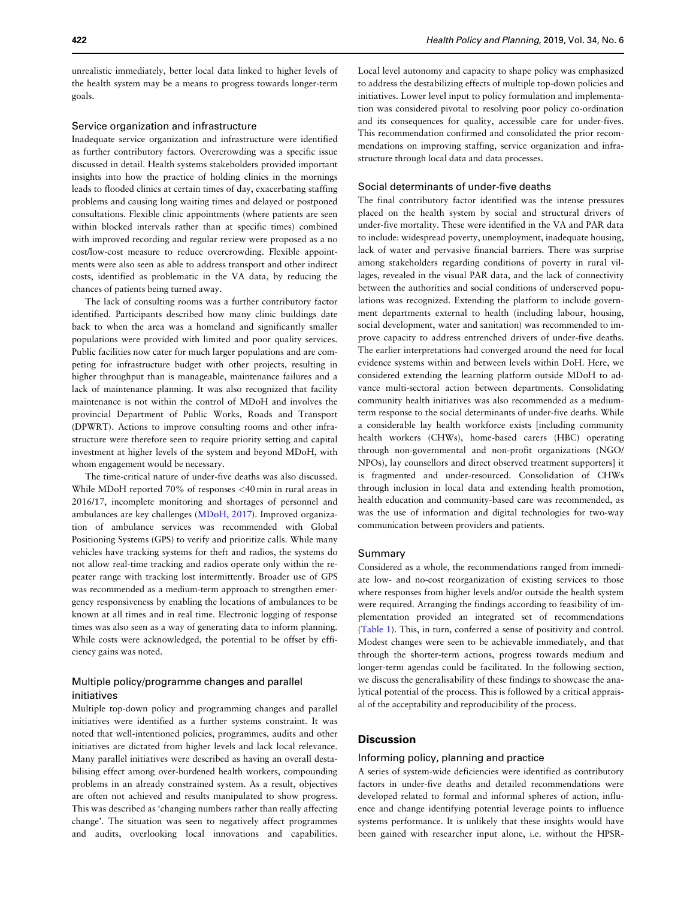unrealistic immediately, better local data linked to higher levels of the health system may be a means to progress towards longer-term goals.

#### Service organization and infrastructure

Inadequate service organization and infrastructure were identified as further contributory factors. Overcrowding was a specific issue discussed in detail. Health systems stakeholders provided important insights into how the practice of holding clinics in the mornings leads to flooded clinics at certain times of day, exacerbating staffing problems and causing long waiting times and delayed or postponed consultations. Flexible clinic appointments (where patients are seen within blocked intervals rather than at specific times) combined with improved recording and regular review were proposed as a no cost/low-cost measure to reduce overcrowding. Flexible appointments were also seen as able to address transport and other indirect costs, identified as problematic in the VA data, by reducing the chances of patients being turned away.

The lack of consulting rooms was a further contributory factor identified. Participants described how many clinic buildings date back to when the area was a homeland and significantly smaller populations were provided with limited and poor quality services. Public facilities now cater for much larger populations and are competing for infrastructure budget with other projects, resulting in higher throughput than is manageable, maintenance failures and a lack of maintenance planning. It was also recognized that facility maintenance is not within the control of MDoH and involves the provincial Department of Public Works, Roads and Transport (DPWRT). Actions to improve consulting rooms and other infrastructure were therefore seen to require priority setting and capital investment at higher levels of the system and beyond MDoH, with whom engagement would be necessary.

The time-critical nature of under-five deaths was also discussed. While MDoH reported 70% of responses <40 min in rural areas in 2016/17, incomplete monitoring and shortages of personnel and ambulances are key challenges ([MDoH, 2017\)](#page-10-0). Improved organization of ambulance services was recommended with Global Positioning Systems (GPS) to verify and prioritize calls. While many vehicles have tracking systems for theft and radios, the systems do not allow real-time tracking and radios operate only within the repeater range with tracking lost intermittently. Broader use of GPS was recommended as a medium-term approach to strengthen emergency responsiveness by enabling the locations of ambulances to be known at all times and in real time. Electronic logging of response times was also seen as a way of generating data to inform planning. While costs were acknowledged, the potential to be offset by efficiency gains was noted.

# Multiple policy/programme changes and parallel initiatives

Multiple top-down policy and programming changes and parallel initiatives were identified as a further systems constraint. It was noted that well-intentioned policies, programmes, audits and other initiatives are dictated from higher levels and lack local relevance. Many parallel initiatives were described as having an overall destabilising effect among over-burdened health workers, compounding problems in an already constrained system. As a result, objectives are often not achieved and results manipulated to show progress. This was described as 'changing numbers rather than really affecting change'. The situation was seen to negatively affect programmes and audits, overlooking local innovations and capabilities.

Local level autonomy and capacity to shape policy was emphasized to address the destabilizing effects of multiple top-down policies and initiatives. Lower level input to policy formulation and implementation was considered pivotal to resolving poor policy co-ordination and its consequences for quality, accessible care for under-fives. This recommendation confirmed and consolidated the prior recommendations on improving staffing, service organization and infrastructure through local data and data processes.

#### Social determinants of under-five deaths

The final contributory factor identified was the intense pressures placed on the health system by social and structural drivers of under-five mortality. These were identified in the VA and PAR data to include: widespread poverty, unemployment, inadequate housing, lack of water and pervasive financial barriers. There was surprise among stakeholders regarding conditions of poverty in rural villages, revealed in the visual PAR data, and the lack of connectivity between the authorities and social conditions of underserved populations was recognized. Extending the platform to include government departments external to health (including labour, housing, social development, water and sanitation) was recommended to improve capacity to address entrenched drivers of under-five deaths. The earlier interpretations had converged around the need for local evidence systems within and between levels within DoH. Here, we considered extending the learning platform outside MDoH to advance multi-sectoral action between departments. Consolidating community health initiatives was also recommended as a mediumterm response to the social determinants of under-five deaths. While a considerable lay health workforce exists [including community health workers (CHWs), home-based carers (HBC) operating through non-governmental and non-profit organizations (NGO/ NPOs), lay counsellors and direct observed treatment supporters] it is fragmented and under-resourced. Consolidation of CHWs through inclusion in local data and extending health promotion, health education and community-based care was recommended, as was the use of information and digital technologies for two-way communication between providers and patients.

# Summary

Considered as a whole, the recommendations ranged from immediate low- and no-cost reorganization of existing services to those where responses from higher levels and/or outside the health system were required. Arranging the findings according to feasibility of implementation provided an integrated set of recommendations ([Table 1](#page-3-0)). This, in turn, conferred a sense of positivity and control. Modest changes were seen to be achievable immediately, and that through the shorter-term actions, progress towards medium and longer-term agendas could be facilitated. In the following section, we discuss the generalisability of these findings to showcase the analytical potential of the process. This is followed by a critical appraisal of the acceptability and reproducibility of the process.

# **Discussion**

#### Informing policy, planning and practice

A series of system-wide deficiencies were identified as contributory factors in under-five deaths and detailed recommendations were developed related to formal and informal spheres of action, influence and change identifying potential leverage points to influence systems performance. It is unlikely that these insights would have been gained with researcher input alone, i.e. without the HPSR-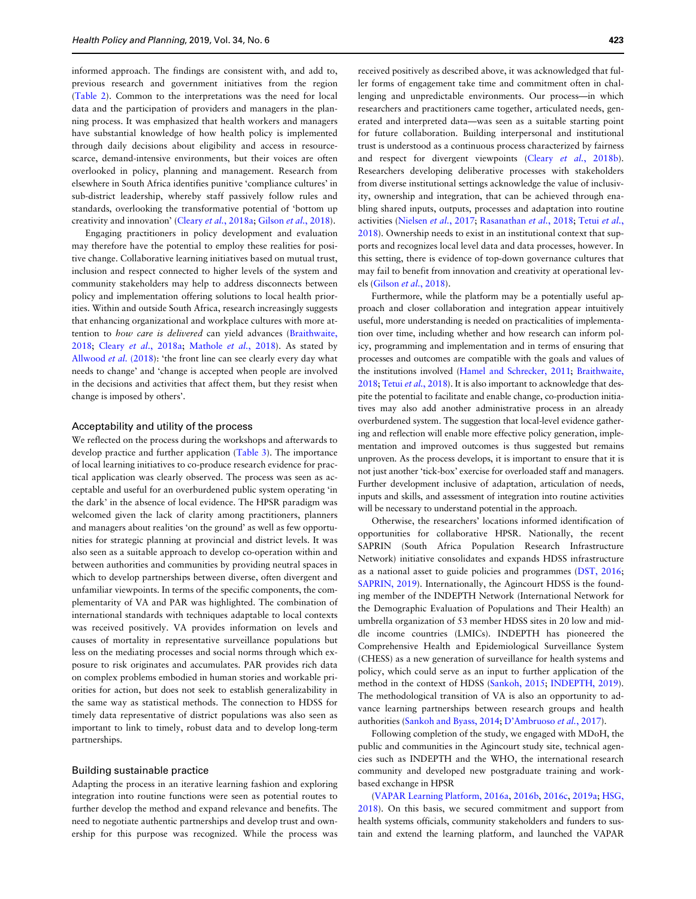informed approach. The findings are consistent with, and add to, previous research and government initiatives from the region ([Table 2](#page-6-0)). Common to the interpretations was the need for local data and the participation of providers and managers in the planning process. It was emphasized that health workers and managers have substantial knowledge of how health policy is implemented through daily decisions about eligibility and access in resourcescarce, demand-intensive environments, but their voices are often overlooked in policy, planning and management. Research from elsewhere in South Africa identifies punitive 'compliance cultures' in sub-district leadership, whereby staff passively follow rules and standards, overlooking the transformative potential of 'bottom up creativity and innovation' (Cleary et al.[, 2018a](#page-9-0); [Gilson](#page-10-0) et al., 2018).

Engaging practitioners in policy development and evaluation may therefore have the potential to employ these realities for positive change. Collaborative learning initiatives based on mutual trust, inclusion and respect connected to higher levels of the system and community stakeholders may help to address disconnects between policy and implementation offering solutions to local health priorities. Within and outside South Africa, research increasingly suggests that enhancing organizational and workplace cultures with more at-tention to how care is delivered can yield advances ([Braithwaite,](#page-9-0) [2018;](#page-9-0) Cleary et al.[, 2018a](#page-9-0); [Mathole](#page-10-0) et al., 2018). As stated by [Allwood](#page-9-0) et al. (2018): 'the front line can see clearly every day what needs to change' and 'change is accepted when people are involved in the decisions and activities that affect them, but they resist when change is imposed by others'.

#### Acceptability and utility of the process

We reflected on the process during the workshops and afterwards to develop practice and further application [\(Table 3\)](#page-9-0). The importance of local learning initiatives to co-produce research evidence for practical application was clearly observed. The process was seen as acceptable and useful for an overburdened public system operating 'in the dark' in the absence of local evidence. The HPSR paradigm was welcomed given the lack of clarity among practitioners, planners and managers about realities 'on the ground' as well as few opportunities for strategic planning at provincial and district levels. It was also seen as a suitable approach to develop co-operation within and between authorities and communities by providing neutral spaces in which to develop partnerships between diverse, often divergent and unfamiliar viewpoints. In terms of the specific components, the complementarity of VA and PAR was highlighted. The combination of international standards with techniques adaptable to local contexts was received positively. VA provides information on levels and causes of mortality in representative surveillance populations but less on the mediating processes and social norms through which exposure to risk originates and accumulates. PAR provides rich data on complex problems embodied in human stories and workable priorities for action, but does not seek to establish generalizability in the same way as statistical methods. The connection to HDSS for timely data representative of district populations was also seen as important to link to timely, robust data and to develop long-term partnerships.

# Building sustainable practice

Adapting the process in an iterative learning fashion and exploring integration into routine functions were seen as potential routes to further develop the method and expand relevance and benefits. The need to negotiate authentic partnerships and develop trust and ownership for this purpose was recognized. While the process was

received positively as described above, it was acknowledged that fuller forms of engagement take time and commitment often in challenging and unpredictable environments. Our process—in which researchers and practitioners came together, articulated needs, generated and interpreted data—was seen as a suitable starting point for future collaboration. Building interpersonal and institutional trust is understood as a continuous process characterized by fairness and respect for divergent viewpoints (Cleary et al.[, 2018b](#page-9-0)). Researchers developing deliberative processes with stakeholders from diverse institutional settings acknowledge the value of inclusivity, ownership and integration, that can be achieved through enabling shared inputs, outputs, processes and adaptation into routine activities [\(Nielsen](#page-10-0) et al., 2017; [Rasanathan](#page-11-0) et al., 2018; [Tetui](#page-11-0) et al., [2018\)](#page-11-0). Ownership needs to exist in an institutional context that supports and recognizes local level data and data processes, however. In this setting, there is evidence of top-down governance cultures that may fail to benefit from innovation and creativity at operational levels ([Gilson](#page-10-0) et al., 2018).

Furthermore, while the platform may be a potentially useful approach and closer collaboration and integration appear intuitively useful, more understanding is needed on practicalities of implementation over time, including whether and how research can inform policy, programming and implementation and in terms of ensuring that processes and outcomes are compatible with the goals and values of the institutions involved ([Hamel and Schrecker, 2011](#page-10-0); [Braithwaite,](#page-9-0) [2018](#page-9-0); Tetui et al.[, 2018\)](#page-11-0). It is also important to acknowledge that despite the potential to facilitate and enable change, co-production initiatives may also add another administrative process in an already overburdened system. The suggestion that local-level evidence gathering and reflection will enable more effective policy generation, implementation and improved outcomes is thus suggested but remains unproven. As the process develops, it is important to ensure that it is not just another 'tick-box' exercise for overloaded staff and managers. Further development inclusive of adaptation, articulation of needs, inputs and skills, and assessment of integration into routine activities will be necessary to understand potential in the approach.

Otherwise, the researchers' locations informed identification of opportunities for collaborative HPSR. Nationally, the recent SAPRIN (South Africa Population Research Infrastructure Network) initiative consolidates and expands HDSS infrastructure as a national asset to guide policies and programmes [\(DST, 2016;](#page-10-0) [SAPRIN, 2019\)](#page-11-0). Internationally, the Agincourt HDSS is the founding member of the INDEPTH Network (International Network for the Demographic Evaluation of Populations and Their Health) an umbrella organization of 53 member HDSS sites in 20 low and middle income countries (LMICs). INDEPTH has pioneered the Comprehensive Health and Epidemiological Surveillance System (CHESS) as a new generation of surveillance for health systems and policy, which could serve as an input to further application of the method in the context of HDSS [\(Sankoh, 2015;](#page-11-0) [INDEPTH, 2019](#page-10-0)). The methodological transition of VA is also an opportunity to advance learning partnerships between research groups and health authorities ([Sankoh and Byass, 2014;](#page-11-0) [D'Ambruoso](#page-9-0) et al., 2017).

Following completion of the study, we engaged with MDoH, the public and communities in the Agincourt study site, technical agencies such as INDEPTH and the WHO, the international research community and developed new postgraduate training and workbased exchange in HPSR

([VAPAR Learning Platform, 2016a,](#page-11-0) [2016b](#page-11-0), [2016c,](#page-11-0) [2019a;](#page-11-0) [HSG,](#page-10-0) [2018\)](#page-10-0). On this basis, we secured commitment and support from health systems officials, community stakeholders and funders to sustain and extend the learning platform, and launched the VAPAR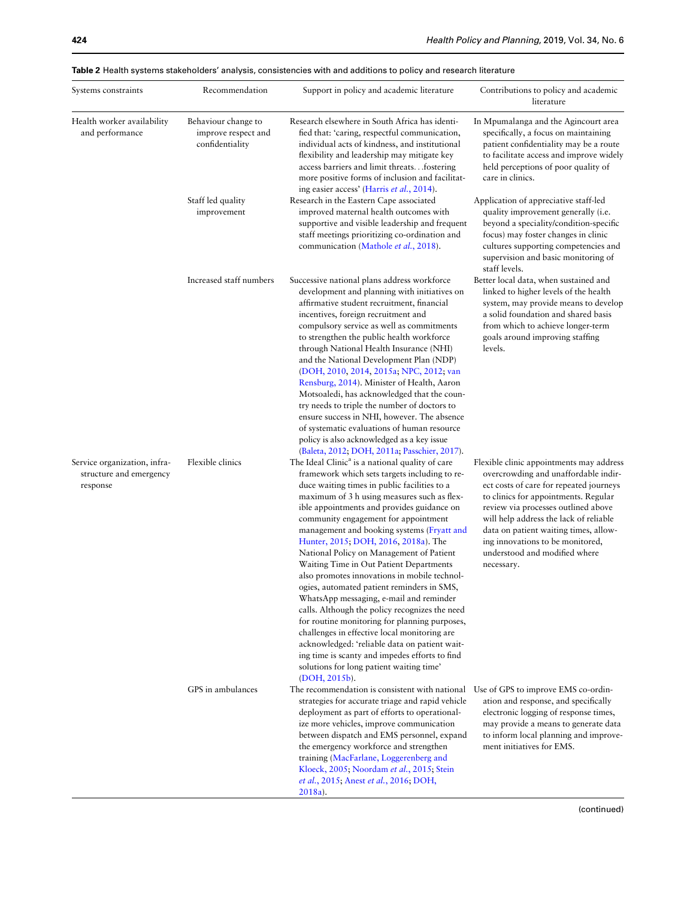| Systems constraints                                                 | Recommendation                                                                                                                                                                                                                                                                                                                                                                                                                         | Support in policy and academic literature                                                                                                                                                                                                                                                                                                                                                                                                                                                                                                                                                                                                                                                                                                                                                                                                                                                                                                     | Contributions to policy and academic<br>literature                                                                                                                                                                                                                                                                                                                               |
|---------------------------------------------------------------------|----------------------------------------------------------------------------------------------------------------------------------------------------------------------------------------------------------------------------------------------------------------------------------------------------------------------------------------------------------------------------------------------------------------------------------------|-----------------------------------------------------------------------------------------------------------------------------------------------------------------------------------------------------------------------------------------------------------------------------------------------------------------------------------------------------------------------------------------------------------------------------------------------------------------------------------------------------------------------------------------------------------------------------------------------------------------------------------------------------------------------------------------------------------------------------------------------------------------------------------------------------------------------------------------------------------------------------------------------------------------------------------------------|----------------------------------------------------------------------------------------------------------------------------------------------------------------------------------------------------------------------------------------------------------------------------------------------------------------------------------------------------------------------------------|
| Health worker availability<br>and performance                       | Behaviour change to<br>improve respect and<br>confidentiality                                                                                                                                                                                                                                                                                                                                                                          | Research elsewhere in South Africa has identi-<br>fied that: 'caring, respectful communication,<br>individual acts of kindness, and institutional<br>flexibility and leadership may mitigate key<br>access barriers and limit threats fostering<br>more positive forms of inclusion and facilitat-<br>ing easier access' (Harris et al., 2014).                                                                                                                                                                                                                                                                                                                                                                                                                                                                                                                                                                                               | In Mpumalanga and the Agincourt area<br>specifically, a focus on maintaining<br>patient confidentiality may be a route<br>to facilitate access and improve widely<br>held perceptions of poor quality of<br>care in clinics.                                                                                                                                                     |
|                                                                     | Staff led quality<br>improvement                                                                                                                                                                                                                                                                                                                                                                                                       | Research in the Eastern Cape associated<br>improved maternal health outcomes with<br>supportive and visible leadership and frequent<br>staff meetings prioritizing co-ordination and<br>communication (Mathole et al., 2018).                                                                                                                                                                                                                                                                                                                                                                                                                                                                                                                                                                                                                                                                                                                 | Application of appreciative staff-led<br>quality improvement generally (i.e.<br>beyond a speciality/condition-specific<br>focus) may foster changes in clinic<br>cultures supporting competencies and<br>supervision and basic monitoring of<br>staff levels.                                                                                                                    |
|                                                                     | Increased staff numbers                                                                                                                                                                                                                                                                                                                                                                                                                | Successive national plans address workforce<br>development and planning with initiatives on<br>affirmative student recruitment, financial<br>incentives, foreign recruitment and<br>compulsory service as well as commitments<br>to strengthen the public health workforce<br>through National Health Insurance (NHI)<br>and the National Development Plan (NDP)<br>(DOH, 2010, 2014, 2015a; NPC, 2012; van<br>Rensburg, 2014). Minister of Health, Aaron<br>Motsoaledi, has acknowledged that the coun-<br>try needs to triple the number of doctors to<br>ensure success in NHI, however. The absence<br>of systematic evaluations of human resource<br>policy is also acknowledged as a key issue<br>(Baleta, 2012; DOH, 2011a; Passchier, 2017).                                                                                                                                                                                          | Better local data, when sustained and<br>linked to higher levels of the health<br>system, may provide means to develop<br>a solid foundation and shared basis<br>from which to achieve longer-term<br>goals around improving staffing<br>levels.                                                                                                                                 |
| Service organization, infra-<br>structure and emergency<br>response | Flexible clinics                                                                                                                                                                                                                                                                                                                                                                                                                       | The Ideal Clinic <sup>a</sup> is a national quality of care<br>framework which sets targets including to re-<br>duce waiting times in public facilities to a<br>maximum of 3 h using measures such as flex-<br>ible appointments and provides guidance on<br>community engagement for appointment<br>management and booking systems (Fryatt and<br>Hunter, 2015; DOH, 2016, 2018a). The<br>National Policy on Management of Patient<br>Waiting Time in Out Patient Departments<br>also promotes innovations in mobile technol-<br>ogies, automated patient reminders in SMS,<br>WhatsApp messaging, e-mail and reminder<br>calls. Although the policy recognizes the need<br>for routine monitoring for planning purposes,<br>challenges in effective local monitoring are<br>acknowledged: 'reliable data on patient wait-<br>ing time is scanty and impedes efforts to find<br>solutions for long patient waiting time'<br>$(DOH, 2015b)$ . | Flexible clinic appointments may address<br>overcrowding and unaffordable indir-<br>ect costs of care for repeated journeys<br>to clinics for appointments. Regular<br>review via processes outlined above<br>will help address the lack of reliable<br>data on patient waiting times, allow-<br>ing innovations to be monitored,<br>understood and modified where<br>necessary. |
| GPS in ambulances                                                   | The recommendation is consistent with national<br>strategies for accurate triage and rapid vehicle<br>deployment as part of efforts to operational-<br>ize more vehicles, improve communication<br>between dispatch and EMS personnel, expand<br>the emergency workforce and strengthen<br>training (MacFarlane, Loggerenberg and<br>Kloeck, 2005; Noordam et al., 2015; Stein<br>et al., 2015; Anest et al., 2016; DOH,<br>$2018a$ ). | Use of GPS to improve EMS co-ordin-<br>ation and response, and specifically<br>electronic logging of response times,<br>may provide a means to generate data<br>to inform local planning and improve-<br>ment initiatives for EMS.                                                                                                                                                                                                                                                                                                                                                                                                                                                                                                                                                                                                                                                                                                            |                                                                                                                                                                                                                                                                                                                                                                                  |

<span id="page-6-0"></span>

| <b>Table 2</b> Health systems stakeholders' analysis, consistencies with and additions to policy and research literature |
|--------------------------------------------------------------------------------------------------------------------------|
|--------------------------------------------------------------------------------------------------------------------------|

(continued)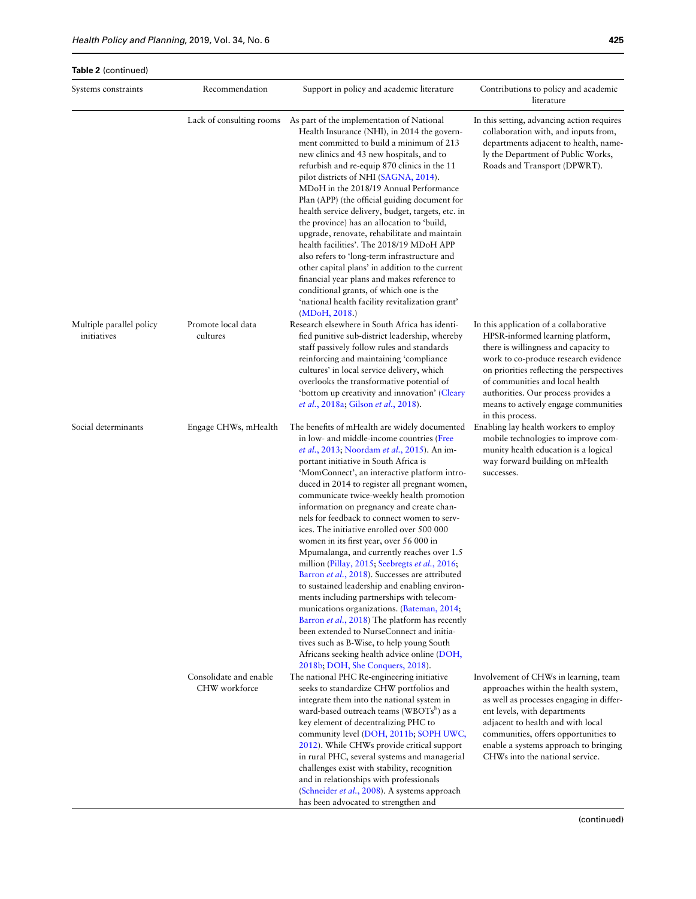| Table 2 (continued)                     |                                         |                                                                                                                                                                                                                                                                                                                                                                                                                                                                                                                                                                                                                                                                                                                                                                                                                                                                                                                                                                                                                                                     |                                                                                                                                                                                                                                                                                                                                               |
|-----------------------------------------|-----------------------------------------|-----------------------------------------------------------------------------------------------------------------------------------------------------------------------------------------------------------------------------------------------------------------------------------------------------------------------------------------------------------------------------------------------------------------------------------------------------------------------------------------------------------------------------------------------------------------------------------------------------------------------------------------------------------------------------------------------------------------------------------------------------------------------------------------------------------------------------------------------------------------------------------------------------------------------------------------------------------------------------------------------------------------------------------------------------|-----------------------------------------------------------------------------------------------------------------------------------------------------------------------------------------------------------------------------------------------------------------------------------------------------------------------------------------------|
| Systems constraints                     | Recommendation                          | Support in policy and academic literature                                                                                                                                                                                                                                                                                                                                                                                                                                                                                                                                                                                                                                                                                                                                                                                                                                                                                                                                                                                                           | Contributions to policy and academic<br>literature                                                                                                                                                                                                                                                                                            |
|                                         | Lack of consulting rooms                | As part of the implementation of National<br>Health Insurance (NHI), in 2014 the govern-<br>ment committed to build a minimum of 213<br>new clinics and 43 new hospitals, and to<br>refurbish and re-equip 870 clinics in the 11<br>pilot districts of NHI (SAGNA, 2014).<br>MDoH in the 2018/19 Annual Performance<br>Plan (APP) (the official guiding document for<br>health service delivery, budget, targets, etc. in<br>the province) has an allocation to 'build,<br>upgrade, renovate, rehabilitate and maintain<br>health facilities'. The 2018/19 MDoH APP<br>also refers to 'long-term infrastructure and<br>other capital plans' in addition to the current<br>financial year plans and makes reference to<br>conditional grants, of which one is the<br>'national health facility revitalization grant'<br>(MDoH, 2018.)                                                                                                                                                                                                                | In this setting, advancing action requires<br>collaboration with, and inputs from,<br>departments adjacent to health, name-<br>ly the Department of Public Works,<br>Roads and Transport (DPWRT).                                                                                                                                             |
| Multiple parallel policy<br>initiatives | Promote local data<br>cultures          | Research elsewhere in South Africa has identi-<br>fied punitive sub-district leadership, whereby<br>staff passively follow rules and standards<br>reinforcing and maintaining 'compliance<br>cultures' in local service delivery, which<br>overlooks the transformative potential of<br>'bottom up creativity and innovation' (Cleary<br>et al., 2018a; Gilson et al., 2018).                                                                                                                                                                                                                                                                                                                                                                                                                                                                                                                                                                                                                                                                       | In this application of a collaborative<br>HPSR-informed learning platform,<br>there is willingness and capacity to<br>work to co-produce research evidence<br>on priorities reflecting the perspectives<br>of communities and local health<br>authorities. Our process provides a<br>means to actively engage communities<br>in this process. |
| Social determinants                     | Engage CHWs, mHealth                    | The benefits of mHealth are widely documented<br>in low- and middle-income countries (Free<br>et al., 2013; Noordam et al., 2015). An im-<br>portant initiative in South Africa is<br>'MomConnect', an interactive platform intro-<br>duced in 2014 to register all pregnant women,<br>communicate twice-weekly health promotion<br>information on pregnancy and create chan-<br>nels for feedback to connect women to serv-<br>ices. The initiative enrolled over 500 000<br>women in its first year, over 56 000 in<br>Mpumalanga, and currently reaches over 1.5<br>million (Pillay, 2015; Seebregts et al., 2016;<br>Barron et al., 2018). Successes are attributed<br>to sustained leadership and enabling environ-<br>ments including partnerships with telecom-<br>munications organizations. (Bateman, 2014;<br>Barron et al., 2018) The platform has recently<br>been extended to NurseConnect and initia-<br>tives such as B-Wise, to help young South<br>Africans seeking health advice online (DOH,<br>2018b; DOH, She Conquers, 2018). | Enabling lay health workers to employ<br>mobile technologies to improve com-<br>munity health education is a logical<br>way forward building on mHealth<br>successes.                                                                                                                                                                         |
|                                         | Consolidate and enable<br>CHW workforce | The national PHC Re-engineering initiative<br>seeks to standardize CHW portfolios and<br>integrate them into the national system in<br>ward-based outreach teams (WBOTs <sup>b</sup> ) as a<br>key element of decentralizing PHC to<br>community level (DOH, 2011b; SOPH UWC,<br>2012). While CHWs provide critical support<br>in rural PHC, several systems and managerial<br>challenges exist with stability, recognition<br>and in relationships with professionals<br>(Schneider et al., 2008). A systems approach<br>has been advocated to strengthen and                                                                                                                                                                                                                                                                                                                                                                                                                                                                                      | Involvement of CHWs in learning, team<br>approaches within the health system,<br>as well as processes engaging in differ-<br>ent levels, with departments<br>adjacent to health and with local<br>communities, offers opportunities to<br>enable a systems approach to bringing<br>CHWs into the national service.                            |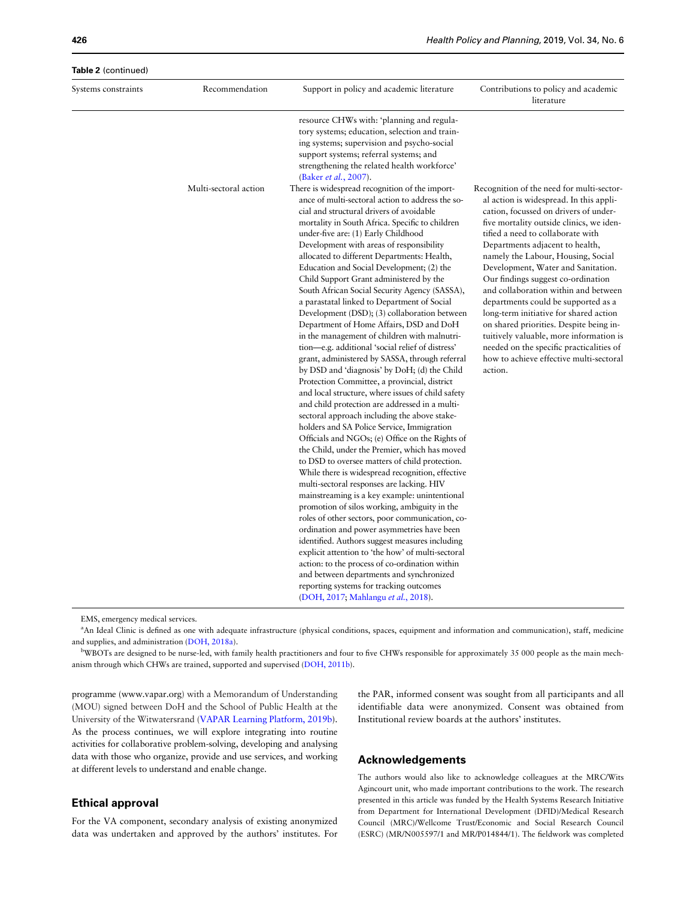| Table 2 (continued) |                       |                                                                                                                                                                                                                                                                                                                                                                                                                                                                                                                                                                                                                                                                                                                                                                                                                                                                                                                                                                                                                                                                                                                                                                                                                                                                                                                                                                                                                                                                                                                                                                                                                                                                                                                                                                                                                                   |                                                                                                                                                                                                                                                                                                                                                                                                                                                                                                                                                                                                                                                                                      |
|---------------------|-----------------------|-----------------------------------------------------------------------------------------------------------------------------------------------------------------------------------------------------------------------------------------------------------------------------------------------------------------------------------------------------------------------------------------------------------------------------------------------------------------------------------------------------------------------------------------------------------------------------------------------------------------------------------------------------------------------------------------------------------------------------------------------------------------------------------------------------------------------------------------------------------------------------------------------------------------------------------------------------------------------------------------------------------------------------------------------------------------------------------------------------------------------------------------------------------------------------------------------------------------------------------------------------------------------------------------------------------------------------------------------------------------------------------------------------------------------------------------------------------------------------------------------------------------------------------------------------------------------------------------------------------------------------------------------------------------------------------------------------------------------------------------------------------------------------------------------------------------------------------|--------------------------------------------------------------------------------------------------------------------------------------------------------------------------------------------------------------------------------------------------------------------------------------------------------------------------------------------------------------------------------------------------------------------------------------------------------------------------------------------------------------------------------------------------------------------------------------------------------------------------------------------------------------------------------------|
| Systems constraints | Recommendation        | Support in policy and academic literature                                                                                                                                                                                                                                                                                                                                                                                                                                                                                                                                                                                                                                                                                                                                                                                                                                                                                                                                                                                                                                                                                                                                                                                                                                                                                                                                                                                                                                                                                                                                                                                                                                                                                                                                                                                         | Contributions to policy and academic<br>literature                                                                                                                                                                                                                                                                                                                                                                                                                                                                                                                                                                                                                                   |
|                     |                       | resource CHWs with: 'planning and regula-<br>tory systems; education, selection and train-<br>ing systems; supervision and psycho-social<br>support systems; referral systems; and<br>strengthening the related health workforce'<br>(Baker et al., 2007).                                                                                                                                                                                                                                                                                                                                                                                                                                                                                                                                                                                                                                                                                                                                                                                                                                                                                                                                                                                                                                                                                                                                                                                                                                                                                                                                                                                                                                                                                                                                                                        |                                                                                                                                                                                                                                                                                                                                                                                                                                                                                                                                                                                                                                                                                      |
|                     | Multi-sectoral action | There is widespread recognition of the import-<br>ance of multi-sectoral action to address the so-<br>cial and structural drivers of avoidable<br>mortality in South Africa. Specific to children<br>under-five are: (1) Early Childhood<br>Development with areas of responsibility<br>allocated to different Departments: Health,<br>Education and Social Development; (2) the<br>Child Support Grant administered by the<br>South African Social Security Agency (SASSA),<br>a parastatal linked to Department of Social<br>Development (DSD); (3) collaboration between<br>Department of Home Affairs, DSD and DoH<br>in the management of children with malnutri-<br>tion-e.g. additional 'social relief of distress'<br>grant, administered by SASSA, through referral<br>by DSD and 'diagnosis' by DoH; (d) the Child<br>Protection Committee, a provincial, district<br>and local structure, where issues of child safety<br>and child protection are addressed in a multi-<br>sectoral approach including the above stake-<br>holders and SA Police Service, Immigration<br>Officials and NGOs; (e) Office on the Rights of<br>the Child, under the Premier, which has moved<br>to DSD to oversee matters of child protection.<br>While there is widespread recognition, effective<br>multi-sectoral responses are lacking. HIV<br>mainstreaming is a key example: unintentional<br>promotion of silos working, ambiguity in the<br>roles of other sectors, poor communication, co-<br>ordination and power asymmetries have been<br>identified. Authors suggest measures including<br>explicit attention to 'the how' of multi-sectoral<br>action: to the process of co-ordination within<br>and between departments and synchronized<br>reporting systems for tracking outcomes<br>(DOH, 2017; Mahlangu et al., 2018). | Recognition of the need for multi-sector-<br>al action is widespread. In this appli-<br>cation, focussed on drivers of under-<br>five mortality outside clinics, we iden-<br>tified a need to collaborate with<br>Departments adjacent to health,<br>namely the Labour, Housing, Social<br>Development, Water and Sanitation.<br>Our findings suggest co-ordination<br>and collaboration within and between<br>departments could be supported as a<br>long-term initiative for shared action<br>on shared priorities. Despite being in-<br>tuitively valuable, more information is<br>needed on the specific practicalities of<br>how to achieve effective multi-sectoral<br>action. |

EMS, emergency medical services.

a An Ideal Clinic is defined as one with adequate infrastructure (physical conditions, spaces, equipment and information and communication), staff, medicine and supplies, and administration [\(DOH, 2018a](#page-10-0)).

bWBOTs are designed to be nurse-led, with family health practitioners and four to five CHWs responsible for approximately 35 000 people as the main mechanism through which CHWs are trained, supported and supervised ([DOH, 2011b](#page-10-0)).

programme ([www.vapar.org\)](http://www.vapar.org) with a Memorandum of Understanding (MOU) signed between DoH and the School of Public Health at the University of the Witwatersrand [\(VAPAR Learning Platform, 2019b](#page-11-0)). As the process continues, we will explore integrating into routine activities for collaborative problem-solving, developing and analysing data with those who organize, provide and use services, and working at different levels to understand and enable change.

# Ethical approval

For the VA component, secondary analysis of existing anonymized data was undertaken and approved by the authors' institutes. For the PAR, informed consent was sought from all participants and all identifiable data were anonymized. Consent was obtained from Institutional review boards at the authors' institutes.

# Acknowledgements

The authors would also like to acknowledge colleagues at the MRC/Wits Agincourt unit, who made important contributions to the work. The research presented in this article was funded by the Health Systems Research Initiative from Department for International Development (DFID)/Medical Research Council (MRC)/Wellcome Trust/Economic and Social Research Council (ESRC) (MR/N005597/1 and MR/P014844/1). The fieldwork was completed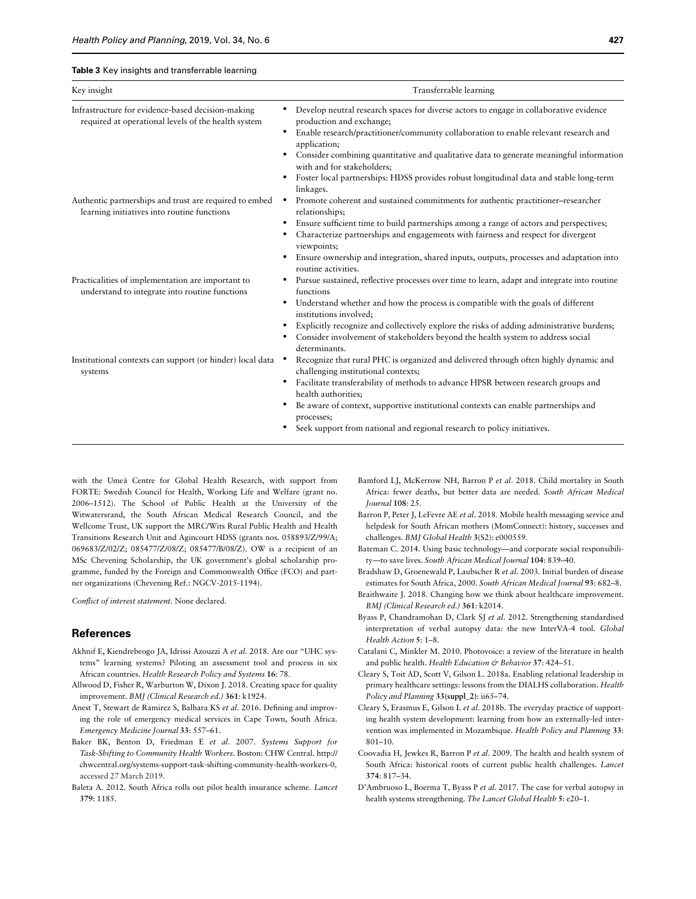<span id="page-9-0"></span>Table 3 Key insights and transferrable learning

| Key insight                                                                                              | Transferrable learning                                                                                                                                                                                                                                                                                                                                                                                                                                                  |
|----------------------------------------------------------------------------------------------------------|-------------------------------------------------------------------------------------------------------------------------------------------------------------------------------------------------------------------------------------------------------------------------------------------------------------------------------------------------------------------------------------------------------------------------------------------------------------------------|
| Infrastructure for evidence-based decision-making<br>required at operational levels of the health system | Develop neutral research spaces for diverse actors to engage in collaborative evidence<br>production and exchange;<br>Enable research/practitioner/community collaboration to enable relevant research and<br>application;<br>Consider combining quantitative and qualitative data to generate meaningful information<br>$\bullet$<br>with and for stakeholders;<br>Foster local partnerships: HDSS provides robust longitudinal data and stable long-term<br>linkages. |
| Authentic partnerships and trust are required to embed<br>learning initiatives into routine functions    | Promote coherent and sustained commitments for authentic practitioner-researcher<br>relationships;<br>Ensure sufficient time to build partnerships among a range of actors and perspectives;<br>$\bullet$<br>Characterize partnerships and engagements with fairness and respect for divergent<br>٠<br>viewpoints;<br>Ensure ownership and integration, shared inputs, outputs, processes and adaptation into<br>routine activities.                                    |
| Practicalities of implementation are important to<br>understand to integrate into routine functions      | Pursue sustained, reflective processes over time to learn, adapt and integrate into routine<br>functions<br>Understand whether and how the process is compatible with the goals of different<br>$\bullet$<br>institutions involved;<br>Explicitly recognize and collectively explore the risks of adding administrative burdens;<br>Consider involvement of stakeholders beyond the health system to address social<br>determinants.                                    |
| Institutional contexts can support (or hinder) local data<br>systems                                     | Recognize that rural PHC is organized and delivered through often highly dynamic and<br>challenging institutional contexts;<br>Facilitate transferability of methods to advance HPSR between research groups and<br>٠<br>health authorities;<br>Be aware of context, supportive institutional contexts can enable partnerships and<br>processes;<br>Seek support from national and regional research to policy initiatives.                                             |

with the Umeå Centre for Global Health Research, with support from FORTE: Swedish Council for Health, Working Life and Welfare (grant no. 2006–1512). The School of Public Health at the University of the Witwatersrand, the South African Medical Research Council, and the Wellcome Trust, UK support the MRC/Wits Rural Public Health and Health Transitions Research Unit and Agincourt HDSS (grants nos. 058893/Z/99/A; 069683/Z/02/Z; 085477/Z/08/Z; 085477/B/08/Z). OW is a recipient of an MSc Chevening Scholarship, the UK government's global scholarship programme, funded by the Foreign and Commonwealth Office (FCO) and partner organizations (Chevening Ref.: NGCV-2015-1194).

Conflict of interest statement. None declared.

# **References**

- Akhnif E, Kiendrebeogo JA, Idrissi Azouzzi A et al. 2018. Are our "UHC systems" learning systems? Piloting an assessment tool and process in six African countries. Health Research Policy and Systems 16: 78.
- Allwood D, Fisher R, Warburton W, Dixon J. 2018. Creating space for quality improvement. BMJ (Clinical Research ed.) 361: k1924.
- Anest T, Stewart de Ramirez S, Balhara KS et al. 2016. Defining and improving the role of emergency medical services in Cape Town, South Africa. Emergency Medicine Journal 33: 557–61.
- Baker BK, Benton D, Friedman E et al. 2007. Systems Support for Task-Shifting to Community Health Workers. Boston: CHW Central. [http://](http://chwcentral.org/systems-support-task-shifting-community-health-workers-0) [chwcentral.org/systems-support-task-shifting-community-health-workers-0,](http://chwcentral.org/systems-support-task-shifting-community-health-workers-0) accessed 27 March 2019.
- Baleta A. 2012. South Africa rolls out pilot health insurance scheme. Lancet 379: 1185.
- Bamford LJ, McKerrow NH, Barron P et al. 2018. Child mortality in South Africa: fewer deaths, but better data are needed. South African Medical Journal 108: 25.
- Barron P, Peter J, LeFevre AE et al. 2018. Mobile health messaging service and helpdesk for South African mothers (MomConnect): history, successes and challenges. BMJ Global Health 3(S2): e000559.
- Bateman C. 2014. Using basic technology—and corporate social responsibility—to save lives. South African Medical Journal 104: 839–40.
- Bradshaw D, Groenewald P, Laubscher R et al. 2003. Initial burden of disease estimates for South Africa, 2000. South African Medical Journal 93: 682–8.
- Braithwaite J. 2018. Changing how we think about healthcare improvement. BMJ (Clinical Research ed.) 361: k2014.
- Byass P, Chandramohan D, Clark SJ et al. 2012. Strengthening standardised interpretation of verbal autopsy data: the new InterVA-4 tool. Global Health Action 5: 1–8.
- Catalani C, Minkler M. 2010. Photovoice: a review of the literature in health and public health. Health Education & Behavior 37: 424-51.
- Cleary S, Toit AD, Scott V, Gilson L. 2018a. Enabling relational leadership in primary healthcare settings: lessons from the DIALHS collaboration. Health Policy and Planning 33(suppl\_2): ii65-74.
- Cleary S, Erasmus E, Gilson L et al. 2018b. The everyday practice of supporting health system development: learning from how an externally-led intervention was implemented in Mozambique. Health Policy and Planning 33: 801–10.
- Coovadia H, Jewkes R, Barron P et al. 2009. The health and health system of South Africa: historical roots of current public health challenges. Lancet 374: 817–34.
- D'Ambruoso L, Boerma T, Byass P et al. 2017. The case for verbal autopsy in health systems strengthening. The Lancet Global Health 5: e20–1.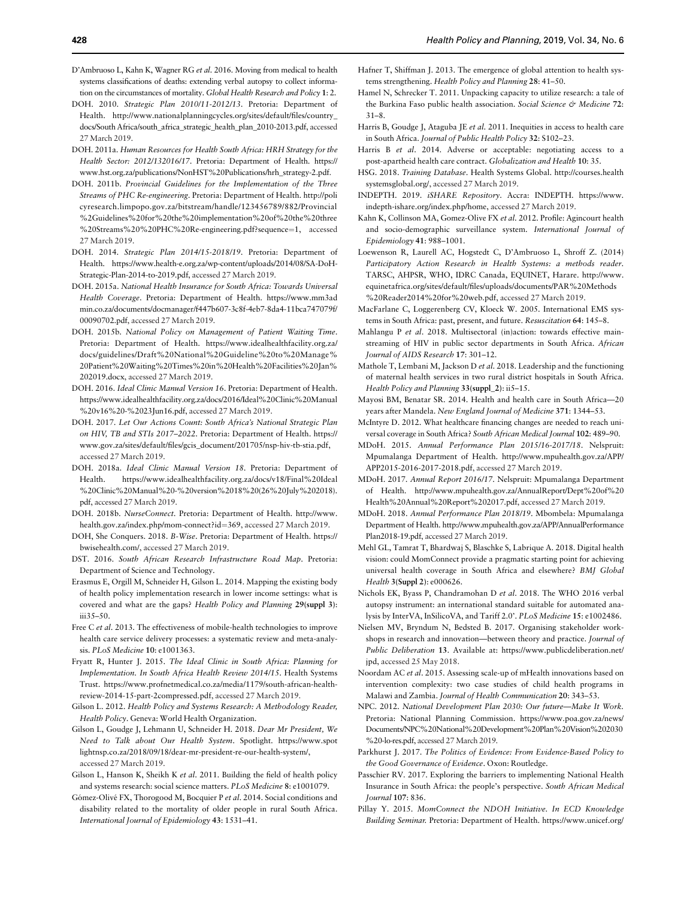- <span id="page-10-0"></span>D'Ambruoso L, Kahn K, Wagner RG et al. 2016. Moving from medical to health systems classifications of deaths: extending verbal autopsy to collect information on the circumstances of mortality. Global Health Research and Policy 1: 2.
- DOH. 2010. Strategic Plan 2010/11-2012/13. Pretoria: Department of Health. [http://www.nationalplanningcycles.org/sites/default/files/country\\_](http://www.nationalplanningcycles.org/sites/default/files/country_docs/South Africa/south_africa_strategic_health_plan_2010-2013.pdf) [docs/South Africa/south\\_africa\\_strategic\\_health\\_plan\\_2010-2013.pdf,](http://www.nationalplanningcycles.org/sites/default/files/country_docs/South Africa/south_africa_strategic_health_plan_2010-2013.pdf) accessed 27 March 2019.
- DOH. 2011a. Human Resources for Health South Africa: HRH Strategy for the Health Sector: 2012/132016/17. Pretoria: Department of Health. [https://](https://www.hst.org.za/publications/NonHST%20Publications/hrh_strategy-2.pdf) [www.hst.org.za/publications/NonHST%20Publications/hrh\\_strategy-2.pdf.](https://www.hst.org.za/publications/NonHST%20Publications/hrh_strategy-2.pdf)
- DOH. 2011b. Provincial Guidelines for the Implementation of the Three Streams of PHC Re-engineering. Pretoria: Department of Health. [http://poli](http://policyresearch.limpopo.gov.za/bitstream/handle/123456789/882/Provincial%2Guidelines%20for%20the%20implementation%20of%20the%20three%20Streams%20%20PHC%20Re-engineering.pdf?sequence=1) [cyresearch.limpopo.gov.za/bitstream/handle/123456789/882/Provincial](http://policyresearch.limpopo.gov.za/bitstream/handle/123456789/882/Provincial%2Guidelines%20for%20the%20implementation%20of%20the%20three%20Streams%20%20PHC%20Re-engineering.pdf?sequence=1) [%2Guidelines%20for%20the%20implementation%20of%20the%20three](http://policyresearch.limpopo.gov.za/bitstream/handle/123456789/882/Provincial%2Guidelines%20for%20the%20implementation%20of%20the%20three%20Streams%20%20PHC%20Re-engineering.pdf?sequence=1) [%20Streams%20%20PHC%20Re-engineering.pdf?sequence](http://policyresearch.limpopo.gov.za/bitstream/handle/123456789/882/Provincial%2Guidelines%20for%20the%20implementation%20of%20the%20three%20Streams%20%20PHC%20Re-engineering.pdf?sequence=1)=[1](http://policyresearch.limpopo.gov.za/bitstream/handle/123456789/882/Provincial%2Guidelines%20for%20the%20implementation%20of%20the%20three%20Streams%20%20PHC%20Re-engineering.pdf?sequence=1), accessed 27 March 2019.
- DOH. 2014. Strategic Plan 2014/15-2018/19. Pretoria: Department of Health. [https://www.health-e.org.za/wp-content/uploads/2014/08/SA-DoH-](https://www.health-e.org.za/wp-content/uploads/2014/08/SA-DoH-Strategic-Plan-2014-to-2019.pdf)[Strategic-Plan-2014-to-2019.pdf,](https://www.health-e.org.za/wp-content/uploads/2014/08/SA-DoH-Strategic-Plan-2014-to-2019.pdf) accessed 27 March 2019.
- DOH. 2015a. National Health Insurance for South Africa: Towards Universal Health Coverage. Pretoria: Department of Health. [https://www.mm3ad](https://www.mm3admin.co.za/documents/docmanager/f447b607-3c8f-4eb7-8da4-11bca747079f/00090702.pdf) [min.co.za/documents/docmanager/f447b607-3c8f-4eb7-8da4-11bca747079f/](https://www.mm3admin.co.za/documents/docmanager/f447b607-3c8f-4eb7-8da4-11bca747079f/00090702.pdf) [00090702.pdf](https://www.mm3admin.co.za/documents/docmanager/f447b607-3c8f-4eb7-8da4-11bca747079f/00090702.pdf), accessed 27 March 2019.
- DOH. 2015b. National Policy on Management of Patient Waiting Time. Pretoria: Department of Health. [https://www.idealhealthfacility.org.za/](https://www.idealhealthfacility.org.za/docs/guidelines/Draft%20National%20Guideline%20to%20Manage%20Patient%20Waiting%20Times%20in%20Health%20Facilities%20Jan%202019.docx) [docs/guidelines/Draft%20National%20Guideline%20to%20Manage%](https://www.idealhealthfacility.org.za/docs/guidelines/Draft%20National%20Guideline%20to%20Manage%20Patient%20Waiting%20Times%20in%20Health%20Facilities%20Jan%202019.docx) [20Patient%20Waiting%20Times%20in%20Health%20Facilities%20Jan%](https://www.idealhealthfacility.org.za/docs/guidelines/Draft%20National%20Guideline%20to%20Manage%20Patient%20Waiting%20Times%20in%20Health%20Facilities%20Jan%202019.docx) [202019.docx,](https://www.idealhealthfacility.org.za/docs/guidelines/Draft%20National%20Guideline%20to%20Manage%20Patient%20Waiting%20Times%20in%20Health%20Facilities%20Jan%202019.docx) accessed 27 March 2019.
- DOH. 2016. Ideal Clinic Manual Version 16. Pretoria: Department of Health. [https://www.idealhealthfacility.org.za/docs/2016/Ideal%20Clinic%20Manual](https://www.idealhealthfacility.org.za/docs/2016/Ideal%20Clinic%20Manual%20v16%20-%2023Jun16.pdf) [%20v16%20-%2023Jun16.pdf](https://www.idealhealthfacility.org.za/docs/2016/Ideal%20Clinic%20Manual%20v16%20-%2023Jun16.pdf), accessed 27 March 2019.
- DOH. 2017. Let Our Actions Count: South Africa's National Strategic Plan on HIV, TB and STIs 2017–2022. Pretoria: Department of Health. [https://](https://www.gov.za/sites/default/files/gcis_document/201705/nsp-hiv-tb-stia.pdf) [www.gov.za/sites/default/files/gcis\\_document/201705/nsp-hiv-tb-stia.pdf](https://www.gov.za/sites/default/files/gcis_document/201705/nsp-hiv-tb-stia.pdf), accessed 27 March 2019.
- DOH. 2018a. Ideal Clinic Manual Version 18. Pretoria: Department of Health. [https://www.idealhealthfacility.org.za/docs/v18/Final%20Ideal](https://www.idealhealthfacility.org.za/docs/v18/Final%20Ideal%20Clinic%20Manual%20-%20version%2018%20(26%20July%202018).pdf) [%20Clinic%20Manual%20-%20version%2018%20\(26%20July%202018\).](https://www.idealhealthfacility.org.za/docs/v18/Final%20Ideal%20Clinic%20Manual%20-%20version%2018%20(26%20July%202018).pdf) [pdf,](https://www.idealhealthfacility.org.za/docs/v18/Final%20Ideal%20Clinic%20Manual%20-%20version%2018%20(26%20July%202018).pdf) accessed 27 March 2019.
- DOH. 2018b. NurseConnect. Pretoria: Department of Health. [http://www.](http://www.health.gov.za/index.php/mom-connect?id=369) [health.gov.za/index.php/mom-connect?id](http://www.health.gov.za/index.php/mom-connect?id=369)=[369,](http://www.health.gov.za/index.php/mom-connect?id=369) accessed 27 March 2019.
- DOH, She Conquers. 2018. B-Wise. Pretoria: Department of Health. [https://](https://bwisehealth.com/) [bwisehealth.com/,](https://bwisehealth.com/) accessed 27 March 2019.
- DST. 2016. South African Research Infrastructure Road Map. Pretoria: Department of Science and Technology.
- Erasmus E, Orgill M, Schneider H, Gilson L. 2014. Mapping the existing body of health policy implementation research in lower income settings: what is covered and what are the gaps? Health Policy and Planning 29(suppl 3): iii35–50.
- Free C *et al.* 2013. The effectiveness of mobile-health technologies to improve health care service delivery processes: a systematic review and meta-analysis. PLoS Medicine 10: e1001363.
- Fryatt R, Hunter J. 2015. The Ideal Clinic in South Africa: Planning for Implementation. In South Africa Health Review 2014/15. Health Systems Trust. [https://www.profnetmedical.co.za/media/1179/south-african-health](https://www.profnetmedical.co.za/media/1179/south-african-health-review-2014-15-part-2compressed.pdf)[review-2014-15-part-2compressed.pdf](https://www.profnetmedical.co.za/media/1179/south-african-health-review-2014-15-part-2compressed.pdf), accessed 27 March 2019.
- Gilson L. 2012. Health Policy and Systems Research: A Methodology Reader, Health Policy. Geneva: World Health Organization.
- Gilson L, Goudge J, Lehmann U, Schneider H. 2018. Dear Mr President, We Need to Talk about Our Health System. Spotlight. [https://www.spot](https://www.spotlightnsp.co.za/2018/09/18/dear-mr-president-re-our-health-system/) [lightnsp.co.za/2018/09/18/dear-mr-president-re-our-health-system/](https://www.spotlightnsp.co.za/2018/09/18/dear-mr-president-re-our-health-system/), accessed 27 March 2019.
- Gilson L, Hanson K, Sheikh K et al. 2011. Building the field of health policy and systems research: social science matters. PLoS Medicine 8: e1001079.
- Gómez-Olivé FX, Thorogood M, Bocquier P et al. 2014. Social conditions and disability related to the mortality of older people in rural South Africa. International Journal of Epidemiology 43: 1531–41.
- Hafner T, Shiffman J. 2013. The emergence of global attention to health systems strengthening. Health Policy and Planning 28: 41–50.
- Hamel N, Schrecker T. 2011. Unpacking capacity to utilize research: a tale of the Burkina Faso public health association. Social Science & Medicine 72: 31–8.
- Harris B, Goudge J, Ataguba JE et al. 2011. Inequities in access to health care in South Africa. Journal of Public Health Policy 32: S102–23.
- Harris B et al. 2014. Adverse or acceptable: negotiating access to a post-apartheid health care contract. Globalization and Health 10: 35.
- HSG. 2018. Training Database. Health Systems Global. [http://courses.health](http://courses.healthsystemsglobal.org/) [systemsglobal.org/,](http://courses.healthsystemsglobal.org/) accessed 27 March 2019.
- INDEPTH. 2019. iSHARE Repository. Accra: INDEPTH. [https://www.](https://www.indepth-ishare.org/index.php/home) [indepth-ishare.org/index.php/home](https://www.indepth-ishare.org/index.php/home), accessed 27 March 2019.
- Kahn K, Collinson MA, Gomez-Olive FX et al. 2012. Profile: Agincourt health and socio-demographic surveillance system. International Journal of Epidemiology 41: 988–1001.
- Loewenson R, Laurell AC, Hogstedt C, D'Ambruoso L, Shroff Z. (2014) Participatory Action Research in Health Systems: a methods reader. TARSC, AHPSR, WHO, IDRC Canada, EQUINET, Harare. [http://www.](http://www.equinetafrica.org/sites/default/files/uploads/documents/PAR%20Methods%20Reader2014%20for%20web.pdf) [equinetafrica.org/sites/default/files/uploads/documents/PAR%20Methods](http://www.equinetafrica.org/sites/default/files/uploads/documents/PAR%20Methods%20Reader2014%20for%20web.pdf) [%20Reader2014%20for%20web.pdf,](http://www.equinetafrica.org/sites/default/files/uploads/documents/PAR%20Methods%20Reader2014%20for%20web.pdf) accessed 27 March 2019.
- MacFarlane C, Loggerenberg CV, Kloeck W. 2005. International EMS systems in South Africa: past, present, and future. Resuscitation 64: 145–8.
- Mahlangu P et al. 2018. Multisectoral (in)action: towards effective mainstreaming of HIV in public sector departments in South Africa. African Journal of AIDS Research 17: 301–12.
- Mathole T, Lembani M, Jackson D et al. 2018. Leadership and the functioning of maternal health services in two rural district hospitals in South Africa. Health Policy and Planning 33(suppl\_2): ii5–15.
- Mayosi BM, Benatar SR. 2014. Health and health care in South Africa—20 years after Mandela. New England Journal of Medicine 371: 1344–53.
- McIntyre D. 2012. What healthcare financing changes are needed to reach universal coverage in South Africa? South African Medical Journal 102: 489–90.
- MDoH. 2015. Annual Performance Plan 2015/16-2017/18. Nelspruit: Mpumalanga Department of Health. [http://www.mpuhealth.gov.za/APP/](http://www.mpuhealth.gov.za/APP/APP2015-2016-2017-2018.pdf) [APP2015-2016-2017-2018.pdf,](http://www.mpuhealth.gov.za/APP/APP2015-2016-2017-2018.pdf) accessed 27 March 2019.
- MDoH. 2017. Annual Report 2016/17. Nelspruit: Mpumalanga Department of Health. [http://www.mpuhealth.gov.za/AnnualReport/Dept%20of%20](http://www.mpuhealth.gov.za/AnnualReport/Dept%20of%20Health%20Annual%20Report%202017.pdf) [Health%20Annual%20Report%202017.pdf](http://www.mpuhealth.gov.za/AnnualReport/Dept%20of%20Health%20Annual%20Report%202017.pdf), accessed 27 March 2019.
- MDoH. 2018. Annual Performance Plan 2018/19. Mbombela: Mpumalanga Department of Health. [http://www.mpuhealth.gov.za/APP/AnnualPerformance](http://www.mpuhealth.gov.za/APP/AnnualPerformancePlan2018-19.pdf) [Plan2018-19.pdf,](http://www.mpuhealth.gov.za/APP/AnnualPerformancePlan2018-19.pdf) accessed 27 March 2019.
- Mehl GL, Tamrat T, Bhardwaj S, Blaschke S, Labrique A. 2018. Digital health vision: could MomConnect provide a pragmatic starting point for achieving universal health coverage in South Africa and elsewhere? BMJ Global Health 3(Suppl 2): e000626.
- Nichols EK, Byass P, Chandramohan D et al. 2018. The WHO 2016 verbal autopsy instrument: an international standard suitable for automated analysis by InterVA, InSilicoVA, and Tariff 2.0'. PLoS Medicine 15: e1002486.
- Nielsen MV, Bryndum N, Bedsted B. 2017. Organising stakeholder workshops in research and innovation—between theory and practice. Journal of Public Deliberation 13. Available at: [https://www.publicdeliberation.net/](https://www.publicdeliberation.net/jpd) [jpd,](https://www.publicdeliberation.net/jpd) accessed 25 May 2018.
- Noordam AC et al. 2015. Assessing scale-up of mHealth innovations based on intervention complexity: two case studies of child health programs in Malawi and Zambia. Journal of Health Communication 20: 343–53.
- NPC. 2012. National Development Plan 2030: Our future—Make It Work. Pretoria: National Planning Commission. [https://www.poa.gov.za/news/](https://www.poa.gov.za/news/Documents/NPC%20National%20Development%20Plan%20Vision%202030%20-lo-res.pdf) [Documents/NPC%20National%20Development%20Plan%20Vision](https://www.poa.gov.za/news/Documents/NPC%20National%20Development%20Plan%20Vision%202030%20-lo-res.pdf)%[202030](https://www.poa.gov.za/news/Documents/NPC%20National%20Development%20Plan%20Vision%202030%20-lo-res.pdf) [%20-lo-res.pdf](https://www.poa.gov.za/news/Documents/NPC%20National%20Development%20Plan%20Vision%202030%20-lo-res.pdf), accessed 27 March 2019.
- Parkhurst J. 2017. The Politics of Evidence: From Evidence-Based Policy to the Good Governance of Evidence. Oxon: Routledge.
- Passchier RV. 2017. Exploring the barriers to implementing National Health Insurance in South Africa: the people's perspective. South African Medical Journal 107: 836.
- Pillay Y. 2015. MomConnect the NDOH Initiative. In ECD Knowledge Building Seminar. Pretoria: Department of Health. [https://www.unicef.org/](https://www.unicef.org/southafrica/SAF_kbs2015_4_1MomConnectHowitworkswhatitachieves.pdf)